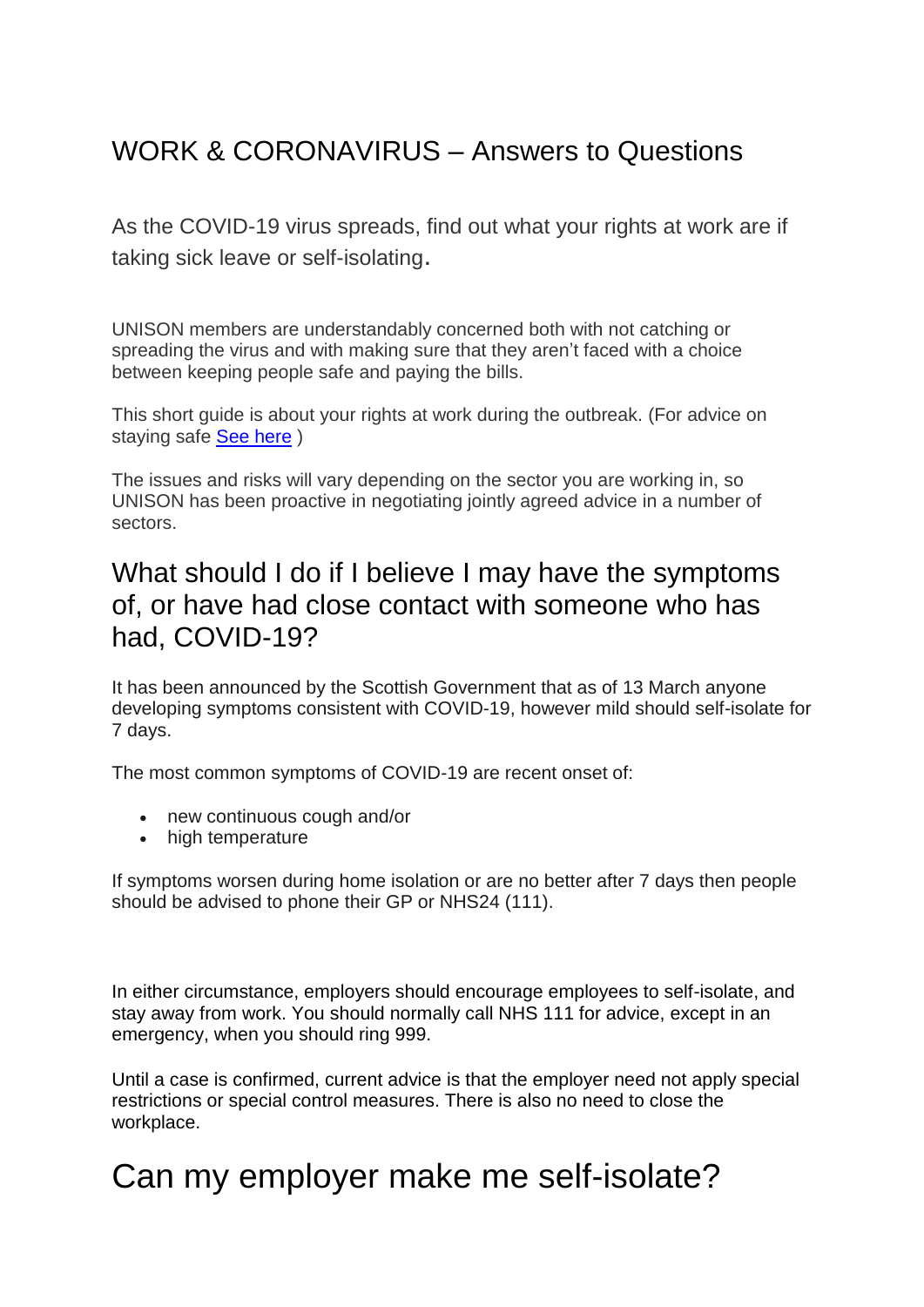### WORK & CORONAVIRUS – Answers to Questions

As the COVID-19 virus spreads, find out what your rights at work are if taking sick leave or self-isolating.

UNISON members are understandably concerned both with not catching or spreading the virus and with making sure that they aren't faced with a choice between keeping people safe and paying the bills.

This short guide is about your rights at work during the outbreak. (For advice on staying safe [See here](https://www.hps.scot.nhs.uk/a-to-z-of-topics/covid-19) )

The issues and risks will vary depending on the sector you are working in, so UNISON has been proactive in negotiating jointly agreed advice in a number of sectors.

#### What should I do if I believe I may have the symptoms of, or have had close contact with someone who has had, COVID-19?

It has been announced by the Scottish Government that as of 13 March anyone developing symptoms consistent with COVID-19, however mild should self-isolate for 7 days.

The most common symptoms of COVID-19 are recent onset of:

- new continuous cough and/or
- high temperature

If symptoms worsen during home isolation or are no better after 7 days then people should be advised to phone their GP or NHS24 (111).

In either circumstance, employers should encourage employees to self-isolate, and stay away from work. You should normally call NHS 111 for advice, except in an emergency, when you should ring 999.

Until a case is confirmed, current advice is that the employer need not apply special restrictions or special control measures. There is also no need to close the workplace.

## Can my employer make me self-isolate?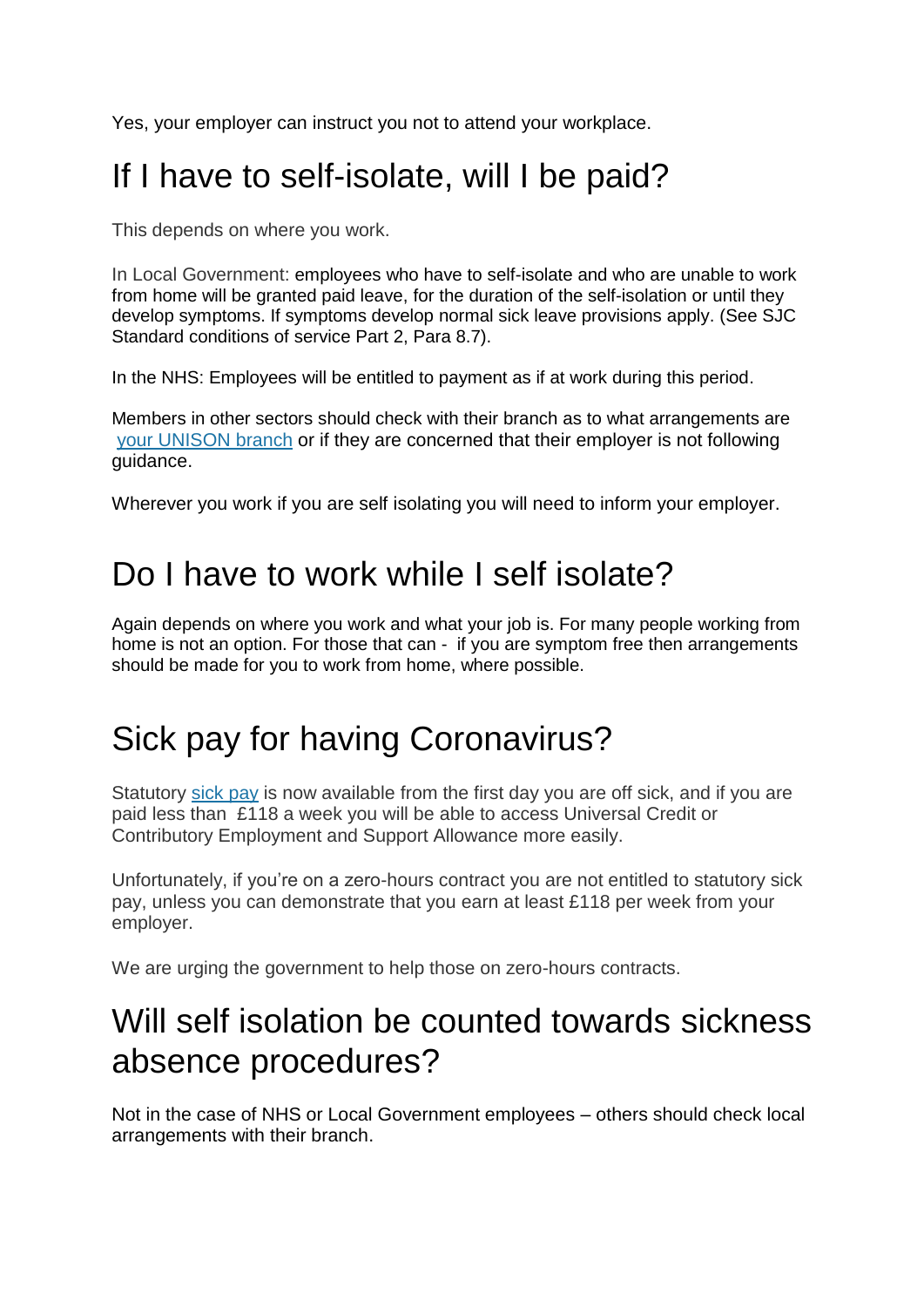Yes, your employer can instruct you not to attend your workplace.

# If I have to self-isolate, will I be paid?

This depends on where you work.

In Local Government: employees who have to self-isolate and who are unable to work from home will be granted paid leave, for the duration of the self-isolation or until they develop symptoms. If symptoms develop normal sick leave provisions apply. (See SJC Standard conditions of service Part 2, Para 8.7).

In the NHS: Employees will be entitled to payment as if at work during this period.

Members in other sectors should check with their branch as to what arrangements are [your UNISON branch](https://branches.unison.org.uk/) or if they are concerned that their employer is not following guidance.

Wherever you work if you are self isolating you will need to inform your employer.

### Do I have to work while I self isolate?

Again depends on where you work and what your job is. For many people working from home is not an option. For those that can - if you are symptom free then arrangements should be made for you to work from home, where possible.

## Sick pay for having Coronavirus?

Statutory [sick pay](https://www.unison.org.uk/get-help/knowledge/leave/sick-leave/) is now available from the first day you are off sick, and if you are paid less than £118 a week you will be able to access Universal Credit or Contributory Employment and Support Allowance more easily.

Unfortunately, if you're on a zero-hours contract you are not entitled to statutory sick pay, unless you can demonstrate that you earn at least £118 per week from your employer.

We are urging the government to help those on zero-hours contracts.

### Will self isolation be counted towards sickness absence procedures?

Not in the case of NHS or Local Government employees – others should check local arrangements with their branch.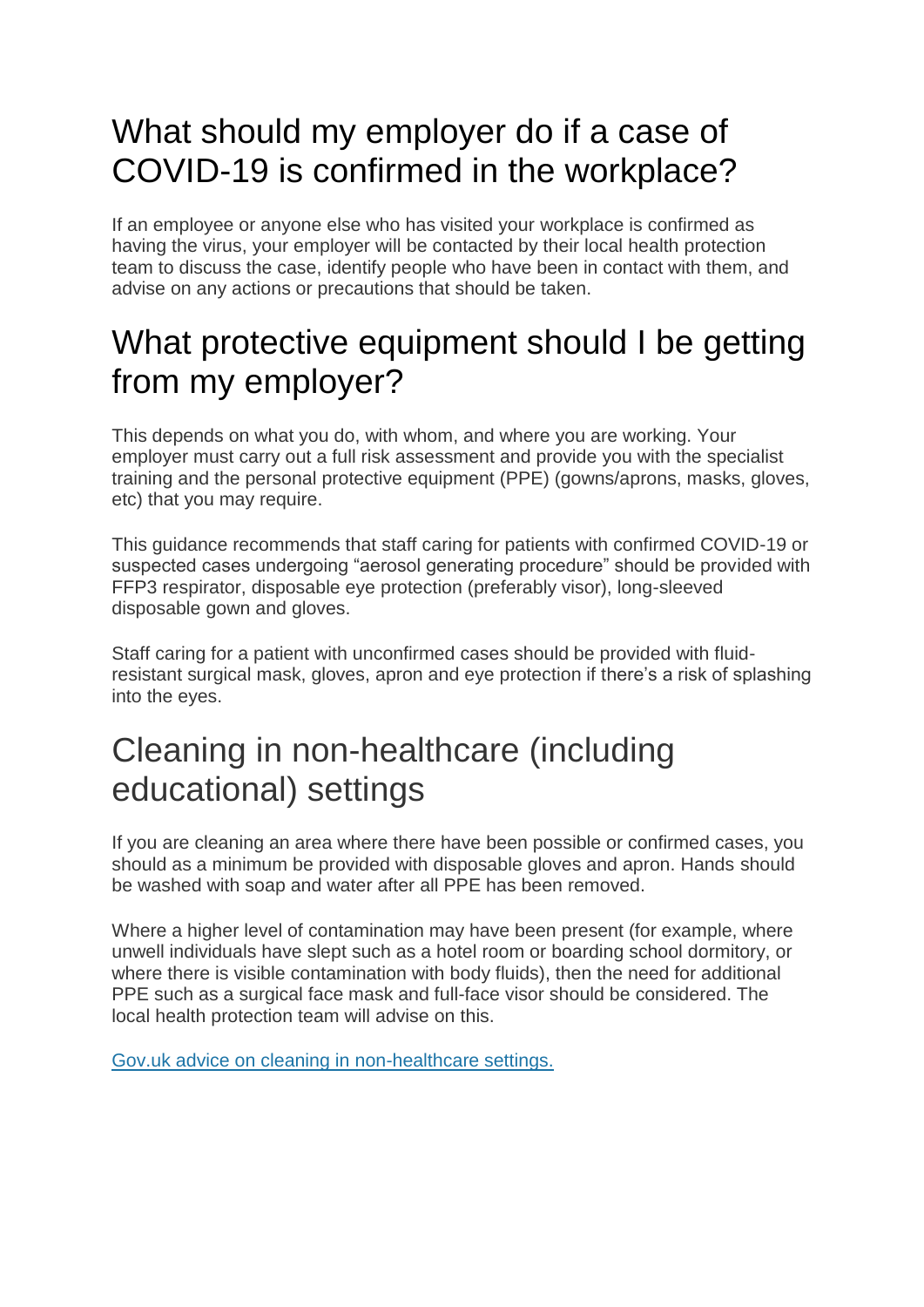## What should my employer do if a case of COVID-19 is confirmed in the workplace?

If an employee or anyone else who has visited your workplace is confirmed as having the virus, your employer will be contacted by their local health protection team to discuss the case, identify people who have been in contact with them, and advise on any actions or precautions that should be taken.

## What protective equipment should I be getting from my employer?

This depends on what you do, with whom, and where you are working. Your employer must carry out a full risk assessment and provide you with the specialist training and the personal protective equipment (PPE) (gowns/aprons, masks, gloves, etc) that you may require.

This guidance recommends that staff caring for patients with confirmed COVID-19 or suspected cases undergoing "aerosol generating procedure" should be provided with FFP3 respirator, disposable eye protection (preferably visor), long-sleeved disposable gown and gloves.

Staff caring for a patient with unconfirmed cases should be provided with fluidresistant surgical mask, gloves, apron and eye protection if there's a risk of splashing into the eyes.

### Cleaning in non-healthcare (including educational) settings

If you are cleaning an area where there have been possible or confirmed cases, you should as a minimum be provided with disposable gloves and apron. Hands should be washed with soap and water after all PPE has been removed.

Where a higher level of contamination may have been present (for example, where unwell individuals have slept such as a hotel room or boarding school dormitory, or where there is visible contamination with body fluids), then the need for additional PPE such as a surgical face mask and full-face visor should be considered. The local health protection team will advise on this.

[Gov.uk advice on cleaning in non-healthcare settings.](https://www.gov.uk/government/publications/covid-19-decontamination-in-non-healthcare-settings/covid-19-decontamination-in-non-healthcare-settings)